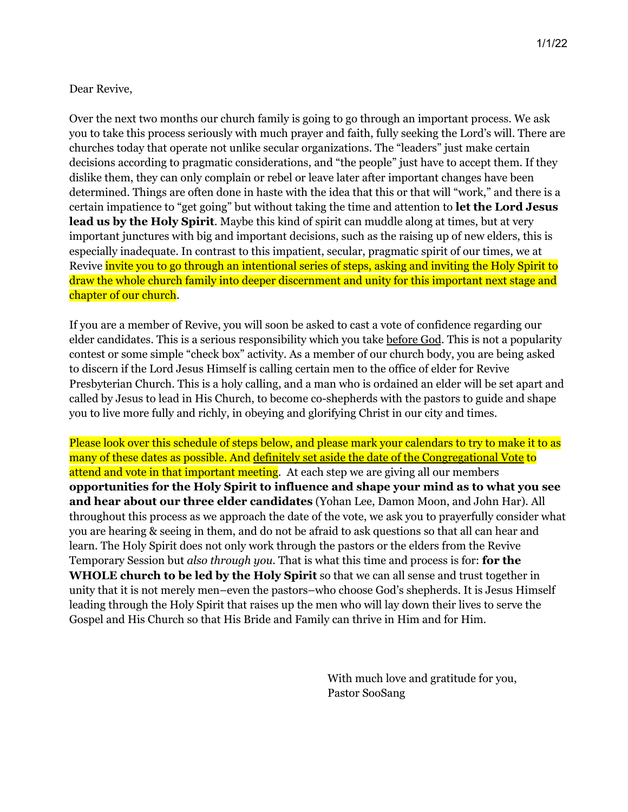## Dear Revive,

Over the next two months our church family is going to go through an important process. We ask you to take this process seriously with much prayer and faith, fully seeking the Lord's will. There are churches today that operate not unlike secular organizations. The "leaders" just make certain decisions according to pragmatic considerations, and "the people" just have to accept them. If they dislike them, they can only complain or rebel or leave later after important changes have been determined. Things are often done in haste with the idea that this or that will "work," and there is a certain impatience to "get going" but without taking the time and attention to **let the Lord Jesus lead us by the Holy Spirit**. Maybe this kind of spirit can muddle along at times, but at very important junctures with big and important decisions, such as the raising up of new elders, this is especially inadequate. In contrast to this impatient, secular, pragmatic spirit of our times, we at Revive invite you to go through an intentional series of steps, asking and inviting the Holy Spirit to draw the whole church family into deeper discernment and unity for this important next stage and chapter of our church.

If you are a member of Revive, you will soon be asked to cast a vote of confidence regarding our elder candidates. This is a serious responsibility which you take before God. This is not a popularity contest or some simple "check box" activity. As a member of our church body, you are being asked to discern if the Lord Jesus Himself is calling certain men to the office of elder for Revive Presbyterian Church. This is a holy calling, and a man who is ordained an elder will be set apart and called by Jesus to lead in His Church, to become co-shepherds with the pastors to guide and shape you to live more fully and richly, in obeying and glorifying Christ in our city and times.

Please look over this schedule of steps below, and please mark your calendars to try to make it to as many of these dates as possible. And definitely set aside the date of the Congregational Vote to attend and vote in that important meeting. At each step we are giving all our members **opportunities for the Holy Spirit to influence and shape your mind as to what you see and hear about our three elder candidates** (Yohan Lee, Damon Moon, and John Har). All throughout this process as we approach the date of the vote, we ask you to prayerfully consider what you are hearing & seeing in them, and do not be afraid to ask questions so that all can hear and learn. The Holy Spirit does not only work through the pastors or the elders from the Revive Temporary Session but *also through you*. That is what this time and process is for: **for the WHOLE church to be led by the Holy Spirit** so that we can all sense and trust together in unity that it is not merely men–even the pastors–who choose God's shepherds. It is Jesus Himself leading through the Holy Spirit that raises up the men who will lay down their lives to serve the Gospel and His Church so that His Bride and Family can thrive in Him and for Him.

> With much love and gratitude for you, Pastor SooSang